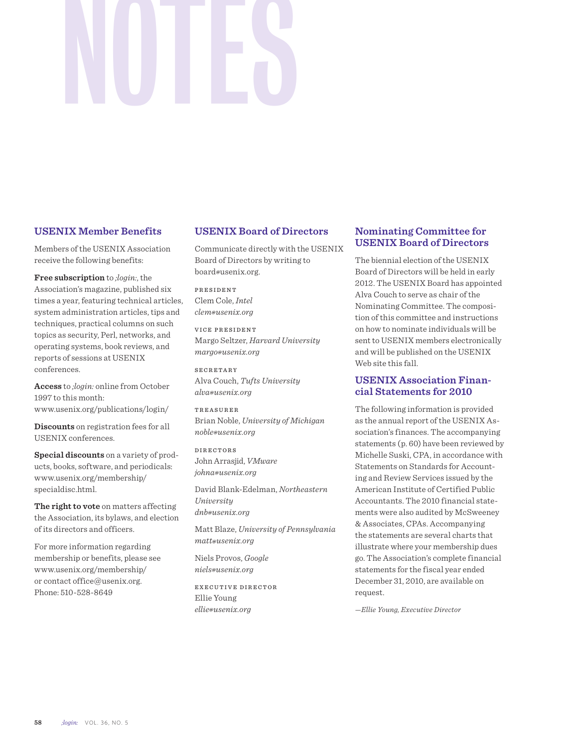# NOTES

### **USENIX Member Benefits**

Members of the USENIX Association receive the following benefits:

**Free subscription** to *;login:*, the Association's magazine, published six times a year, featuring technical articles, system administration articles, tips and techniques, practical columns on such topics as security, Perl, networks, and operating systems, book reviews, and reports of sessions at USENIX conferences.

**Access** to *;login:* online from October 1997 to this month: www.usenix.org/publications/login/

**Discounts** on registration fees for all USENIX conferences.

**Special discounts** on a variety of products, books, software, and periodicals: www.usenix.org/membership/ specialdisc.html.

**The right to vote** on matters affecting the Association, its bylaws, and election of its directors and officers.

For more information regarding membership or benefits, please see www.usenix.org/membership/ or contact office@usenix.org. Phone: 510-528-8649

## **USENIX Board of Directors**

Communicate directly with the USENIX Board of Directors by writing to board*@*usenix.org.

PRESIDENT Clem Cole, *Intel clem@usenix.org*

VICE PRESIDENT Margo Seltzer, *Harvard University margo@usenix.org*

SECRETARY Alva Couch, *Tufts University alva@usenix.org*

TREASURER Brian Noble, *University of Michigan noble@usenix.org*

DIRECTORS John Arrasjid, *VMware johna@usenix.org*

David Blank-Edelman, *Northeastern University dnb@usenix.org*

Matt Blaze, *University of Pennsylvania matt@usenix.org*

Niels Provos, *Google niels@usenix.org*

EXECUTIVE DIRECTOR Ellie Young *ellie@usenix.org*

### **Nominating Committee for USENIX Board of Directors**

The biennial election of the USENIX Board of Directors will be held in early 2012. The USENIX Board has appointed Alva Couch to serve as chair of the Nominating Committee. The composition of this committee and instructions on how to nominate individuals will be sent to USENIX members electronically and will be published on the USENIX Web site this fall.

### **USENIX Association Financial Statements for 2010**

The following information is provided as the annual report of the USENIX Association's finances. The accompanying statements (p. 60) have been reviewed by Michelle Suski, CPA, in accordance with Statements on Standards for Accounting and Review Services issued by the American Institute of Certified Public Accountants. The 2010 financial statements were also audited by McSweeney & Associates, CPAs. Accompanying the statements are several charts that illustrate where your membership dues go. The Association's complete financial statements for the fiscal year ended December 31, 2010, are available on request.

*—Ellie Young, Executive Director*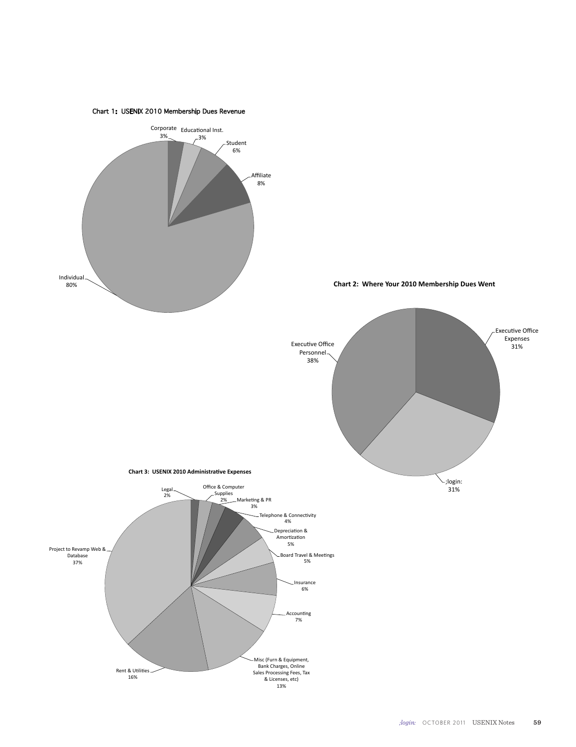

Chart 1: USENIX 2010 Membership Dues Revenue